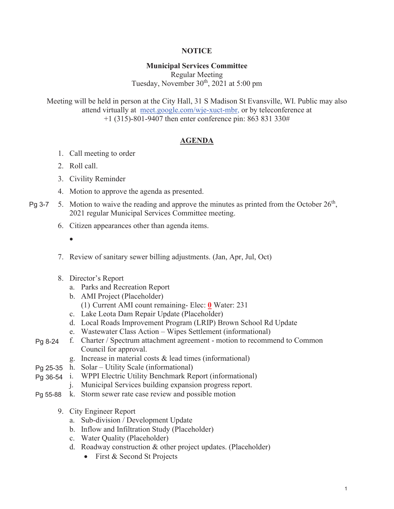## **NOTICE**

## **Municipal Services Committee**

Regular Meeting Tuesday, November  $30<sup>th</sup>$ , 2021 at 5:00 pm

Meeting will be held in person at the City Hall, 31 S Madison St Evansville, WI. Public may also attend virtually at meet.google.com/wje-xuct-mbr, or by teleconference at +1 (315)-801-9407 then enter conference pin: 863 831 330#

## **AGENDA**

- 1. Call meeting to order
- 2. Roll call.
- 3. Civility Reminder
- 4. Motion to approve the agenda as presented.
- 5. Motion to waive the reading and approve the minutes as printed from the October  $26<sup>th</sup>$ , 2021 regular Municipal Services Committee meeting. Pg 3-7
	- 6. Citizen appearances other than agenda items.
		- $\bullet$
	- 7. Review of sanitary sewer billing adjustments. (Jan, Apr, Jul, Oct)
	- 8. Director's Report
		- a. Parks and Recreation Report
		- b. AMI Project (Placeholder)
			- (1) Current AMI count remaining- Elec: **0** Water: 231
		- c. Lake Leota Dam Repair Update (Placeholder)
		- d. Local Roads Improvement Program (LRIP) Brown School Rd Update
		- e. Wastewater Class Action Wipes Settlement (informational)
	- f. Charter / Spectrum attachment agreement motion to recommend to Common Council for approval. Pg 8-24
		- g. Increase in material costs & lead times (informational)
	- Pg 25-35 h. Solar Utility Scale (informational)
	- Pg 36-54 i. WPPI Electric Utility Benchmark Report (informational)
		- j. Municipal Services building expansion progress report.
	- Pg 55-88 k. Storm sewer rate case review and possible motion
		- 9. City Engineer Report
			- a. Sub-division / Development Update
			- b. Inflow and Infiltration Study (Placeholder)
			- c. Water Quality (Placeholder)
			- d. Roadway construction & other project updates. (Placeholder)
				- $\bullet$  First & Second St Projects